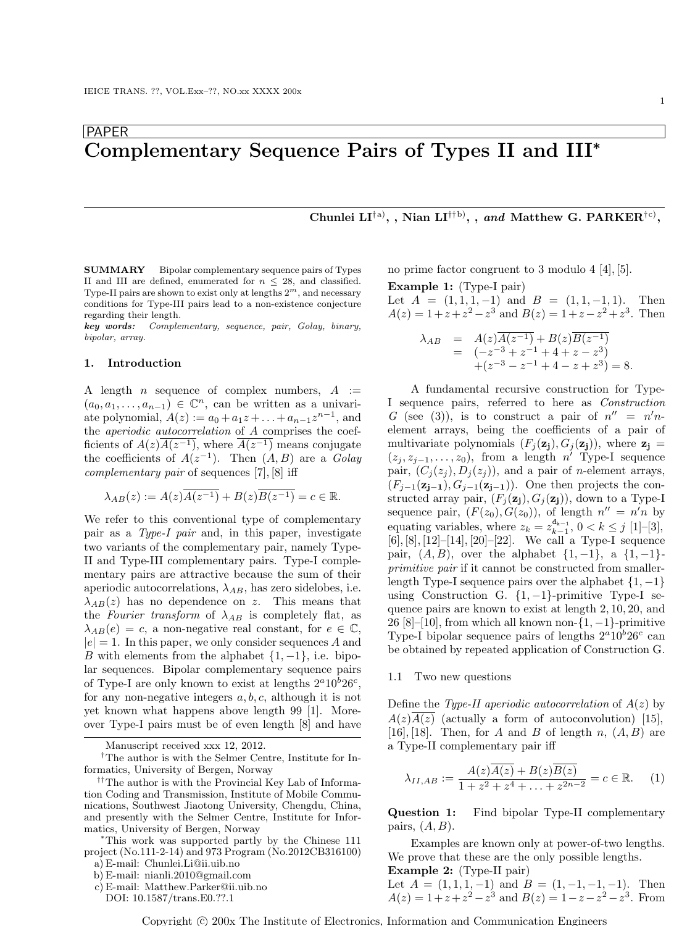# PAPER Complementary Sequence Pairs of Types II and III<sup>∗</sup>

Chunlei  $LI^{\dagger a}$ , , Nian  $LI^{\dagger b}$ , , and Matthew G. PARKER<sup>†c</sup><sup>)</sup>,

SUMMARY Bipolar complementary sequence pairs of Types II and III are defined, enumerated for  $n < 28$ , and classified. Type-II pairs are shown to exist only at lengths  $2^m$ , and necessary conditions for Type-III pairs lead to a non-existence conjecture regarding their length.

key words: Complementary, sequence, pair, Golay, binary, bipolar, array.

#### 1. Introduction

A length *n* sequence of complex numbers,  $A :=$  $(a_0, a_1, \ldots, a_{n-1}) \in \mathbb{C}^n$ , can be written as a univariate polynomial,  $A(z) := a_0 + a_1 z + \ldots + a_{n-1} z^{n-1}$ , and the aperiodic autocorrelation of A comprises the coefficients of  $A(z)\overline{A(z^{-1})}$ , where  $\overline{A(z^{-1})}$  means conjugate the coefficients of  $A(z^{-1})$ . Then  $(A, B)$  are a Golay complementary pair of sequences [7], [8] iff

$$
\lambda_{AB}(z):=A(z)\overline{A(z^{-1})}+B(z)\overline{B(z^{-1})}=c\in\mathbb{R}.
$$

We refer to this conventional type of complementary pair as a Type-I pair and, in this paper, investigate two variants of the complementary pair, namely Type-II and Type-III complementary pairs. Type-I complementary pairs are attractive because the sum of their aperiodic autocorrelations,  $\lambda_{AB}$ , has zero sidelobes, i.e.  $\lambda_{AB}(z)$  has no dependence on z. This means that the Fourier transform of  $\lambda_{AB}$  is completely flat, as  $\lambda_{AB}(e) = c$ , a non-negative real constant, for  $e \in \mathbb{C}$ ,  $|e| = 1$ . In this paper, we only consider sequences A and B with elements from the alphabet  $\{1, -1\}$ , i.e. bipolar sequences. Bipolar complementary sequence pairs of Type-I are only known to exist at lengths  $2^a 10^b 26^c$ , for any non-negative integers  $a, b, c$ , although it is not yet known what happens above length 99 [1]. Moreover Type-I pairs must be of even length [8] and have

Manuscript received xxx 12, 2012.

†The author is with the Selmer Centre, Institute for Informatics, University of Bergen, Norway

<sup>∗</sup>This work was supported partly by the Chinese 111 project (No.111-2-14) and 973 Program (No.2012CB316100) a) E-mail: Chunlei.Li@ii.uib.no

DOI: 10.1587/trans.E0.??.1

no prime factor congruent to 3 modulo 4 [4], [5].

Example 1: (Type-I pair) Let  $A = (1, 1, 1, -1)$  and  $B = (1, 1, -1, 1)$ . Then  $A(z) = 1 + z + z<sup>2</sup> - z<sup>3</sup>$  and  $B(z) = 1 + z - z<sup>2</sup> + z<sup>3</sup>$ . Then

$$
\lambda_{AB} = A(z)\overline{A(z^{-1})} + B(z)\overline{B(z^{-1})}
$$
  
=  $(-z^{-3} + z^{-1} + 4 + z - z^{3})$   
+ $(z^{-3} - z^{-1} + 4 - z + z^{3}) = 8.$ 

A fundamental recursive construction for Type-I sequence pairs, referred to here as Construction G (see (3)), is to construct a pair of  $n'' = n'n$ element arrays, being the coefficients of a pair of multivariate polynomials  $(F_i(\mathbf{z}_i), G_i(\mathbf{z}_i))$ , where  $\mathbf{z}_i =$  $(z_j, z_{j-1}, \ldots, z_0)$ , from a length n' Type-I sequence pair,  $(C_i(z_i), D_i(z_i))$ , and a pair of *n*-element arrays,  $(F_{j-1}(\mathbf{z_{j-1}}), G_{j-1}(\mathbf{z_{j-1}}))$ . One then projects the constructed array pair,  $(F_i(\mathbf{z}_i), G_i(\mathbf{z}_i))$ , down to a Type-I sequence pair,  $(F(z_0), G(z_0))$ , of length  $n'' = n'n$  by equating variables, where  $z_k = z_{k-1}^{d_{k-1}}$ ,  $0 < k \le j$  [1]-[3], [6], [8], [12]–[14], [20]–[22]. We call a Type-I sequence pair,  $(A, B)$ , over the alphabet  $\{1, -1\}$ , a  $\{1, -1\}$ primitive pair if it cannot be constructed from smallerlength Type-I sequence pairs over the alphabet  $\{1, -1\}$ using Construction G.  $\{1, -1\}$ -primitive Type-I sequence pairs are known to exist at length 2, 10, 20, and 26 [8]–[10], from which all known non- $\{1, -1\}$ -primitive Type-I bipolar sequence pairs of lengths  $2^a 10^b 26^c$  can be obtained by repeated application of Construction G.

#### 1.1 Two new questions

Define the Type-II aperiodic autocorrelation of  $A(z)$  by  $A(z)A(z)$  (actually a form of autoconvolution) [15], [16], [18]. Then, for A and B of length n,  $(A, B)$  are a Type-II complementary pair iff

$$
\lambda_{II,AB} := \frac{A(z)\overline{A(z)} + B(z)\overline{B(z)}}{1 + z^2 + z^4 + \ldots + z^{2n-2}} = c \in \mathbb{R}.
$$
 (1)

Question 1: Find bipolar Type-II complementary pairs,  $(A, B)$ .

Examples are known only at power-of-two lengths. We prove that these are the only possible lengths. Example 2: (Type-II pair)

Let  $A = (1, 1, 1, -1)$  and  $B = (1, -1, -1, -1)$ . Then  $A(z) = 1 + z + z<sup>2</sup> - z<sup>3</sup>$  and  $B(z) = 1 - z - z<sup>2</sup> - z<sup>3</sup>$ . From

<sup>&</sup>lt;sup>††</sup>The author is with the Provincial Key Lab of Information Coding and Transmission, Institute of Mobile Communications, Southwest Jiaotong University, Chengdu, China, and presently with the Selmer Centre, Institute for Informatics, University of Bergen, Norway

b) E-mail: nianli.2010@gmail.com c) E-mail: Matthew.Parker@ii.uib.no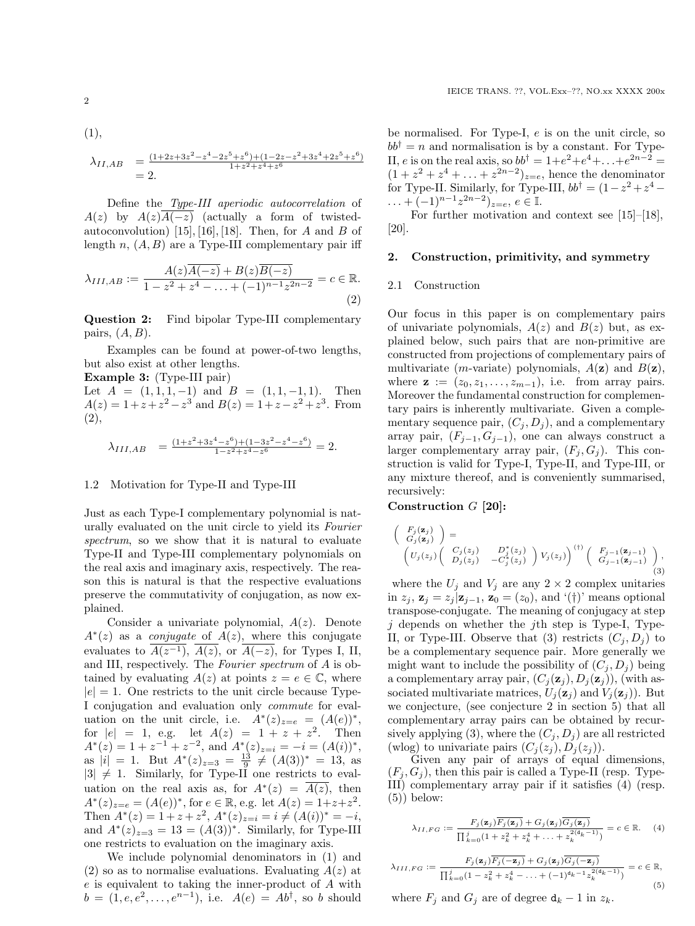(1),  
\n
$$
\lambda_{II,AB} = \frac{(1+2z+3z^2-z^4-2z^5+z^6)+(1-2z-z^2+3z^4+2z^5+z^6)}{1+z^2+z^4+z^6}
$$
\n
$$
= 2.
$$

Define the Type-III aperiodic autocorrelation of  $A(z)$  by  $A(z)A(-z)$  (actually a form of twistedautoconvolution) [15], [16], [18]. Then, for A and B of length  $n, (A, B)$  are a Type-III complementary pair iff

$$
\lambda_{III,AB} := \frac{A(z)\overline{A(-z)} + B(z)\overline{B(-z)}}{1 - z^2 + z^4 - \dots + (-1)^{n-1}z^{2n-2}} = c \in \mathbb{R}.
$$
\n(2)

Question 2: Find bipolar Type-III complementary pairs,  $(A, B)$ .

Examples can be found at power-of-two lengths, but also exist at other lengths.

Example 3: (Type-III pair)

Let  $A = (1, 1, 1, -1)$  and  $B = (1, 1, -1, 1)$ . Then  $A(z) = 1 + z + z<sup>2</sup> - z<sup>3</sup>$  and  $B(z) = 1 + z - z<sup>2</sup> + z<sup>3</sup>$ . From (2),

$$
\lambda_{III, AB} = \frac{(1+z^2+3z^4-z^6)+(1-3z^2-z^4-z^6)}{1-z^2+z^4-z^6} = 2.
$$

#### 1.2 Motivation for Type-II and Type-III

Just as each Type-I complementary polynomial is naturally evaluated on the unit circle to yield its Fourier spectrum, so we show that it is natural to evaluate Type-II and Type-III complementary polynomials on the real axis and imaginary axis, respectively. The reason this is natural is that the respective evaluations preserve the commutativity of conjugation, as now explained.

Consider a univariate polynomial,  $A(z)$ . Denote  $A^*(z)$  as a *conjugate* of  $A(z)$ , where this conjugate evaluates to  $A(z^{-1})$ ,  $A(z)$ , or  $A(-z)$ , for Types I, II, and III, respectively. The Fourier spectrum of A is obtained by evaluating  $A(z)$  at points  $z = e \in \mathbb{C}$ , where  $|e| = 1$ . One restricts to the unit circle because Type-I conjugation and evaluation only commute for evaluation on the unit circle, i.e.  $A^*(z)_{z=e} = (A(e))^*,$ for  $|e| = 1$ , e.g. let  $A(z) = 1 + z + z^2$ . Then  $A^*(z) = 1 + z^{-1} + z^{-2}$ , and  $A^*(z)_{z=i} = -i = (A(i))^*$ , as  $|i| = 1$ . But  $A^*(z)_{z=3} = \frac{13}{9} \neq (A(3))^* = 13$ , as  $|3| \neq 1$ . Similarly, for Type-II one restricts to evaluation on the real axis as, for  $A^*(z) = \overline{A(z)}$ , then  $A^*(z)_{z=e} = (A(e))^*$ , for  $e \in \mathbb{R}$ , e.g. let  $A(z) = 1+z+z^2$ . Then  $A^*(z) = 1 + z + z^2$ ,  $A^*(z)_{z=i} = i \neq (A(i))^* = -i$ , and  $A^*(z)_{z=3} = 13 = (A(3))^*$ . Similarly, for Type-III one restricts to evaluation on the imaginary axis.

We include polynomial denominators in (1) and  $(2)$  so as to normalise evaluations. Evaluating  $A(z)$  at e is equivalent to taking the inner-product of A with  $b = (1, e, e^{2}, \dots, e^{n-1}),$  i.e.  $A(e) = Ab^{\dagger}$ , so b should

be normalised. For Type-I, e is on the unit circle, so  $bb^{\dagger} = n$  and normalisation is by a constant. For Type-II, e is on the real axis, so  $bb^{\dagger} = 1 + e^2 + e^4 + ... + e^{2n-2} =$  $(1 + z<sup>2</sup> + z<sup>4</sup> + ... + z<sup>2n-2</sup>)<sub>z=e</sub>$ , hence the denominator for Type-II. Similarly, for Type-III,  $bb^{\dagger} = (1 - z^2 + z^4 - z^4)$  $\ldots + (-1)^{n-1} z^{2n-2}$ )<sub>z=e</sub>,  $e \in \mathbb{I}$ .

For further motivation and context see [15]–[18], [20].

#### 2. Construction, primitivity, and symmetry

#### 2.1 Construction

Our focus in this paper is on complementary pairs of univariate polynomials,  $A(z)$  and  $B(z)$  but, as explained below, such pairs that are non-primitive are constructed from projections of complementary pairs of multivariate (*m*-variate) polynomials,  $A(\mathbf{z})$  and  $B(\mathbf{z})$ , where  $\mathbf{z} := (z_0, z_1, \ldots, z_{m-1}),$  i.e. from array pairs. Moreover the fundamental construction for complementary pairs is inherently multivariate. Given a complementary sequence pair,  $(C_j, D_j)$ , and a complementary array pair,  $(F_{i-1}, G_{i-1})$ , one can always construct a larger complementary array pair,  $(F_j, G_j)$ . This construction is valid for Type-I, Type-II, and Type-III, or any mixture thereof, and is conveniently summarised, recursively:

## Construction G [20]:

$$
\begin{pmatrix}\nF_j(\mathbf{z}_j) \\
G_j(\mathbf{z}_j)\n\end{pmatrix} = \n\begin{pmatrix}\nU_j(z_j) & D_j^*(z_j) \\
D_j(z_j) & -C_j^*(z_j)\n\end{pmatrix} V_j(z_j)\n\begin{pmatrix}\nF_{j-1}(\mathbf{z}_{j-1}) \\
G_{j-1}(\mathbf{z}_{j-1})\n\end{pmatrix},
$$
\n(3)

where the  $U_j$  and  $V_j$  are any  $2 \times 2$  complex unitaries in  $z_i$ ,  $\mathbf{z}_i = z_i | \mathbf{z}_{i-1}, \mathbf{z}_0 = (z_0)$ , and  $'(\dagger)$ ' means optional transpose-conjugate. The meaning of conjugacy at step  $j$  depends on whether the  $j$ th step is Type-I, Type-II, or Type-III. Observe that (3) restricts  $(C_i, D_i)$  to be a complementary sequence pair. More generally we might want to include the possibility of  $(C_i, D_i)$  being a complementary array pair,  $(C_i(\mathbf{z}_i), D_i(\mathbf{z}_i))$ , (with associated multivariate matrices,  $U_i(\mathbf{z}_i)$  and  $V_i(\mathbf{z}_i)$ . But we conjecture, (see conjecture 2 in section 5) that all complementary array pairs can be obtained by recursively applying (3), where the  $(C_i, D_i)$  are all restricted (wlog) to univariate pairs  $(C_j(z_j), D_j(z_j)).$ 

Given any pair of arrays of equal dimensions,  $(F_i, G_j)$ , then this pair is called a Type-II (resp. Type-III) complementary array pair if it satisfies (4) (resp.  $(5)$ ) below:

$$
\lambda_{II,FG} := \frac{F_j(\mathbf{z}_j)\overline{F_j(\mathbf{z}_j)} + G_j(\mathbf{z}_j)\overline{G_j(\mathbf{z}_j)}}{\prod_{k=0}^j (1 + z_k^2 + z_k^4 + \ldots + z_k^{2(d_k - 1)})} = c \in \mathbb{R}.
$$
 (4)

$$
\lambda_{III,FG} := \frac{F_j(\mathbf{z}_j)\overline{F_j(-\mathbf{z}_j)} + G_j(\mathbf{z}_j)\overline{G_j(-\mathbf{z}_j)}}{\prod_{k=0}^j (1 - z_k^2 + z_k^4 - \ldots + (-1)^{d_k - 1} z_k^{2(d_k - 1)})} = c \in \mathbb{R},\tag{5}
$$

where  $F_i$  and  $G_j$  are of degree  $\mathbf{d}_k - 1$  in  $z_k$ .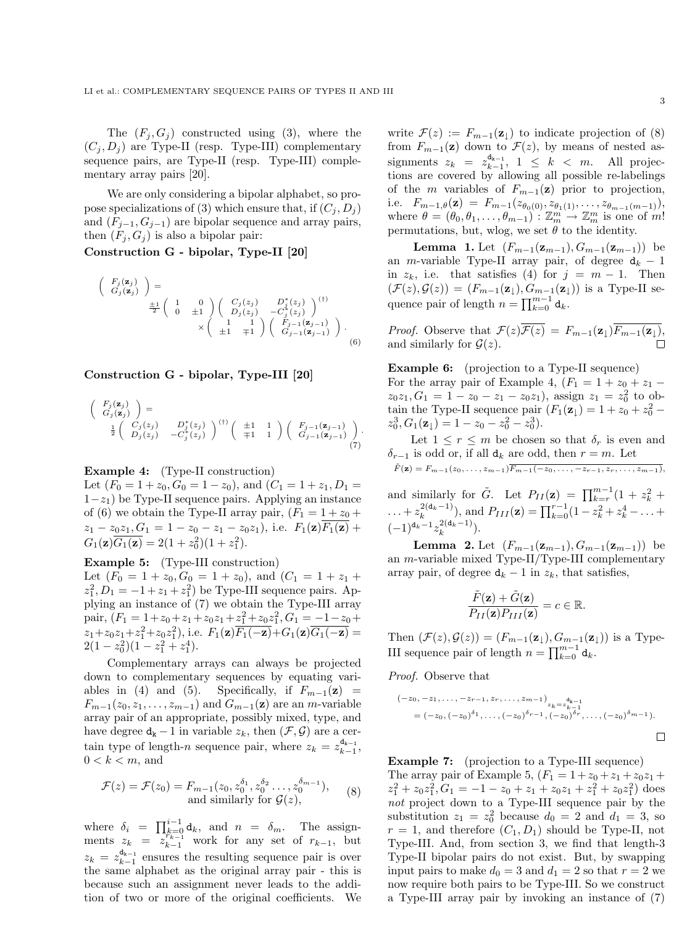The  $(F_i, G_j)$  constructed using (3), where the  $(C_i, D_i)$  are Type-II (resp. Type-III) complementary sequence pairs, are Type-II (resp. Type-III) complementary array pairs [20].

We are only considering a bipolar alphabet, so propose specializations of (3) which ensure that, if  $(C_i, D_i)$ and  $(F_{j-1}, G_{j-1})$  are bipolar sequence and array pairs, then  $(F_i, G_j)$  is also a bipolar pair:

# Construction G - bipolar, Type-II [20]

$$
\begin{pmatrix}\nF_j(\mathbf{z}_j) \\
G_j(\mathbf{z}_j)\n\end{pmatrix} = \frac{\pm 1}{2} \begin{pmatrix}\n1 & 0 \\
0 & \pm 1\n\end{pmatrix} \begin{pmatrix}\nC_j(z_j) & D_j^*(z_j) \\
D_j(z_j) & -C_j^*(z_j)\n\end{pmatrix}^{(1)} \times \begin{pmatrix}\n1 & 1 \\
\pm 1 & \mp 1\n\end{pmatrix} \begin{pmatrix}\nF_{j-1}(\mathbf{z}_{j-1}) \\
G_{j-1}(\mathbf{z}_{j-1})\n\end{pmatrix}.
$$
\n(6)

### Construction G - bipolar, Type-III [20]

$$
\begin{pmatrix}\nF_j(\mathbf{z}_j) \\
G_j(\mathbf{z}_j)\n\end{pmatrix} = \n\frac{1}{2} \begin{pmatrix}\nC_j(z_j) & D_j^*(z_j) \\
D_j(z_j) & -C_j^*(z_j)\n\end{pmatrix}^{(\dagger)} \begin{pmatrix}\n\pm 1 & 1 \\
\mp 1 & 1\n\end{pmatrix} \begin{pmatrix}\nF_{j-1}(\mathbf{z}_{j-1}) \\
G_{j-1}(\mathbf{z}_{j-1})\n\end{pmatrix}.
$$
\n(7)

#### Example 4: (Type-II construction)

Let  $(F_0 = 1 + z_0, G_0 = 1 - z_0)$ , and  $(C_1 = 1 + z_1, D_1 =$  $1-z_1$ ) be Type-II sequence pairs. Applying an instance of (6) we obtain the Type-II array pair,  $(F_1 = 1 + z_0 +$  $z_1 - z_0 z_1, G_1 = 1 - z_0 - z_1 - z_0 z_1$ , i.e.  $F_1(\mathbf{z}) \overline{F_1(\mathbf{z})}$  +  $G_1(\mathbf{z})\overline{G_1(\mathbf{z})} = 2(1+z_0^2)(1+z_1^2).$ 

#### Example 5: (Type-III construction)

Let  $(F_0 = 1 + z_0, G_0 = 1 + z_0)$ , and  $(C_1 = 1 + z_1 + z_0)$  $z_1^2$ ,  $D_1 = -1 + z_1 + z_1^2$  be Type-III sequence pairs. Applying an instance of (7) we obtain the Type-III array pair,  $(F_1 = 1 + z_0 + z_1 + z_0 z_1 + z_1^2 + z_0 z_1^2, G_1 = -1 - z_0 + z_1 z_1^2$  $z_1+z_0z_1+z_1^2+z_0z_1^2$ , i.e.  $F_1(\mathbf{z})\overline{F_1(-\mathbf{z})}+G_1(\mathbf{z})\overline{G_1(-\mathbf{z})}$  $2(1-z_0^2)(1-z_1^2+z_1^4).$ 

Complementary arrays can always be projected down to complementary sequences by equating variables in (4) and (5). Specifically, if  $F_{m-1}(\mathbf{z}) =$  $F_{m-1}(z_0, z_1, \ldots, z_{m-1})$  and  $G_{m-1}(\mathbf{z})$  are an m-variable array pair of an appropriate, possibly mixed, type, and have degree  $d_k - 1$  in variable  $z_k$ , then  $(\mathcal{F}, \mathcal{G})$  are a certain type of length-n sequence pair, where  $z_k = z_{k-1}^{d_{k-1}}$ ,  $0 < k < m$ , and

$$
\mathcal{F}(z) = \mathcal{F}(z_0) = F_{m-1}(z_0, z_0^{\delta_1}, z_0^{\delta_2} \dots, z_0^{\delta_{m-1}}),
$$
  
and similarly for  $\mathcal{G}(z),$  (8)

where  $\delta_i = \prod_{k=0}^{i-1} \mathsf{d}_k$ , and  $n = \delta_m$ . The assignments  $z_k = z_{k-1}^{\frac{N-1}{r_{k-1}}}$  work for any set of  $r_{k-1}$ , but  $z_k = z_{k-1}^{\mathbf{d}_{k-1}}$  ensures the resulting sequence pair is over the same alphabet as the original array pair - this is because such an assignment never leads to the addition of two or more of the original coefficients. We write  $\mathcal{F}(z) := F_{m-1}(\mathbf{z}_{\perp})$  to indicate projection of (8) from  $F_{m-1}(\mathbf{z})$  down to  $\mathcal{F}(z)$ , by means of nested assignments  $z_k = z_{k-1}^{d_{k-1}}, 1 \leq k < m$ . All projections are covered by allowing all possible re-labelings of the m variables of  $F_{m-1}(\mathbf{z})$  prior to projection, i.e.  $F_{m-1,\theta}(\mathbf{z}) = F_{m-1}(z_{\theta_0(0)}, z_{\theta_1(1)}, \ldots, z_{\theta_{m-1}(m-1)}),$ where  $\theta = (\theta_0, \theta_1, \dots, \theta_{m-1}) : \mathbb{Z}_m^m \to \mathbb{Z}_m^m$  is one of m! permutations, but, wlog, we set  $\theta$  to the identity.

**Lemma 1.** Let  $(F_{m-1}(\mathbf{z}_{m-1}), G_{m-1}(\mathbf{z}_{m-1}))$  be an m-variable Type-II array pair, of degree  $d_k - 1$ in  $z_k$ , i.e. that satisfies (4) for  $j = m - 1$ . Then  $(\mathcal{F}(z), \mathcal{G}(z)) = (F_{m-1}(\mathbf{z}_{\downarrow}), G_{m-1}(\mathbf{z}_{\downarrow}))$  is a Type-II sequence pair of length  $n = \prod_{k=0}^{m-1} d_k$ .

*Proof.* Observe that  $\mathcal{F}(z)\overline{\mathcal{F}(z)} = F_{m-1}(\mathbf{z}_{\downarrow})\overline{F_{m-1}(\mathbf{z}_{\downarrow})},$ and similarly for  $\mathcal{G}(z)$ .

Example 6: (projection to a Type-II sequence) For the array pair of Example 4,  $(F_1 = 1 + z_0 + z_1$  $z_0z_1, G_1 = 1 - z_0 - z_1 - z_0z_1$ , assign  $z_1 = z_0^2$  to obtain the Type-II sequence pair  $(F_1(\mathbf{z}_\downarrow) = 1 + z_0 + z_0^2$  –  $z_0^3, G_1(\mathbf{z}_\downarrow) = 1 - z_0 - z_0^2 - z_0^3).$ 

Let  $1 \leq r \leq m$  be chosen so that  $\delta_r$  is even and  $\delta_{r-1}$  is odd or, if all  $d_k$  are odd, then  $r = m$ . Let  $\tilde{F}(\mathbf{z}) = F_{m-1}(z_0, \ldots, z_{m-1}) \overline{F_{m-1}(-z_0, \ldots, -z_{r-1}, z_r, \ldots, z_{m-1})},$ 

and similarly for  $\tilde{G}$ . Let  $P_{II}(\mathbf{z}) = \prod_{k=r}^{m-1} (1 + z_k^2 + ...)$ ... +  $z_k^{2(\mathbf{d}_k-1)}$ ), and  $P_{III}(\mathbf{z}) = \prod_{k=0}^{r-1} (1 - z_k^2 + z_k^4 - \dots + z_k^4)$  $(-1)^{d_k-1}z_k^{2(d_k-1)}$ ).

**Lemma 2.** Let  $(F_{m-1}(\mathbf{z}_{m-1}), G_{m-1}(\mathbf{z}_{m-1}))$  be an m-variable mixed Type-II/Type-III complementary array pair, of degree  $d_k - 1$  in  $z_k$ , that satisfies,

$$
\frac{\tilde{F}(\mathbf{z}) + \tilde{G}(\mathbf{z})}{P_{II}(\mathbf{z})P_{III}(\mathbf{z})} = c \in \mathbb{R}.
$$

Then  $(\mathcal{F}(z), \mathcal{G}(z)) = (F_{m-1}(\mathbf{z}_{\perp}), G_{m-1}(\mathbf{z}_{\perp}))$  is a Type-III sequence pair of length  $n = \prod_{k=0}^{m-1} d_k$ .

#### Proof. Observe that

$$
(-z_0, -z_1, \ldots, -z_{r-1}, z_r, \ldots, z_{m-1}) \n= (-z_0, (-z_0)^{\delta_1}, \ldots, (-z_0)^{\delta_{r-1}}, (-z_0)^{\delta_r}, \ldots, (-z_0)^{\delta_{m-1}}).
$$

# Example 7: (projection to a Type-III sequence)

The array pair of Example 5,  $(F_1 = 1 + z_0 + z_1 + z_0z_1 + z_1$  $z_1^2 + z_0 z_1^2, G_1 = -1 - z_0 + z_1 + z_0 z_1 + z_1^2 + z_0 z_1^2$  does not project down to a Type-III sequence pair by the substitution  $z_1 = z_0^2$  because  $d_0 = 2$  and  $d_1 = 3$ , so  $r = 1$ , and therefore  $(C_1, D_1)$  should be Type-II, not Type-III. And, from section 3, we find that length-3 Type-II bipolar pairs do not exist. But, by swapping input pairs to make  $d_0 = 3$  and  $d_1 = 2$  so that  $r = 2$  we now require both pairs to be Type-III. So we construct a Type-III array pair by invoking an instance of (7)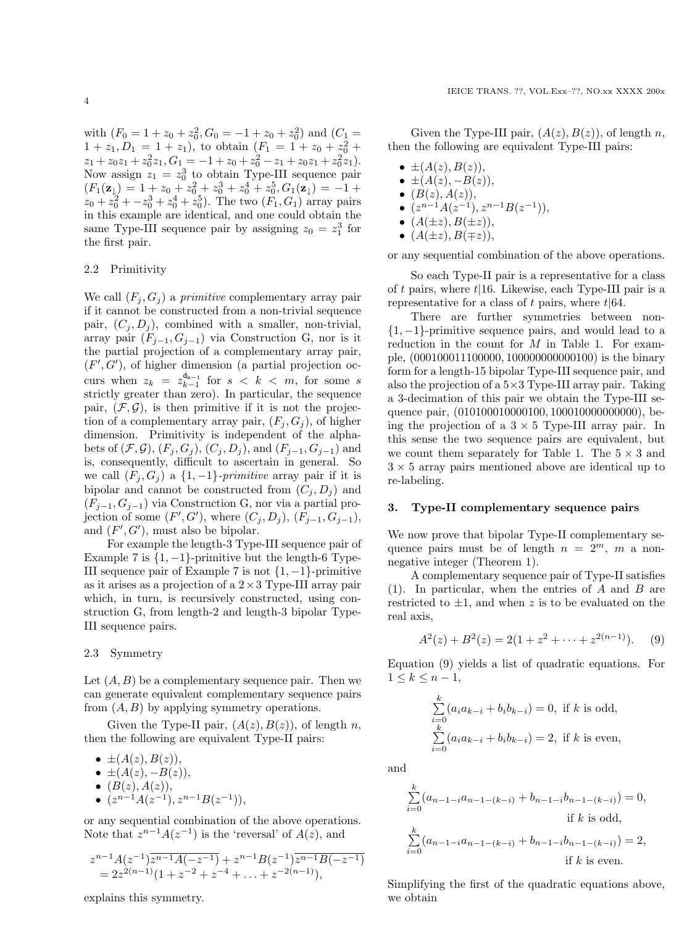with  $(F_0 = 1 + z_0 + z_0^2, G_0 = -1 + z_0 + z_0^2)$  and  $(C_1 =$  $1 + z_1, D_1 = 1 + z_1$ , to obtain  $(F_1 = 1 + z_0 + z_0^2 + z_0^2)$  $z_1 + z_0 z_1 + z_0^2 z_1, G_1 = -1 + z_0 + z_0^2 - z_1 + z_0 z_1 + z_0^2 z_1.$ Now assign  $z_1 = z_0^3$  to obtain Type-III sequence pair  $(F_1(\mathbf{z}_\downarrow) = 1 + z_0 + z_0^2 + z_0^3 + z_0^4 + z_0^5, G_1(\mathbf{z}_\downarrow) = -1 +$  $z_0 + z_0^2 + -z_0^3 + z_0^4 + z_0^5$ . The two  $(F_1, G_1)$  array pairs in this example are identical, and one could obtain the same Type-III sequence pair by assigning  $z_0 = z_1^3$  for the first pair.

### 2.2 Primitivity

We call  $(F_i, G_j)$  a *primitive* complementary array pair if it cannot be constructed from a non-trivial sequence pair,  $(C_i, D_i)$ , combined with a smaller, non-trivial, array pair  $(F_{j-1}, G_{j-1})$  via Construction G, nor is it the partial projection of a complementary array pair,  $(F', G')$ , of higher dimension (a partial projection occurs when  $z_k = z_{k-1}^{d_{k-1}}$  for  $s < k < m$ , for some s strictly greater than zero). In particular, the sequence pair,  $(\mathcal{F}, \mathcal{G})$ , is then primitive if it is not the projection of a complementary array pair,  $(F_i, G_j)$ , of higher dimension. Primitivity is independent of the alphabets of  $(\mathcal{F}, \mathcal{G})$ ,  $(F_i, G_j)$ ,  $(C_i, D_j)$ , and  $(F_{i-1}, G_{j-1})$  and is, consequently, difficult to ascertain in general. So we call  $(F_j, G_j)$  a  $\{1, -1\}$ -primitive array pair if it is bipolar and cannot be constructed from  $(C_i, D_i)$  and  $(F_{j-1}, G_{j-1})$  via Construction G, nor via a partial projection of some  $(F', G')$ , where  $(C_j, D_j)$ ,  $(F_{j-1}, G_{j-1})$ , and  $(F', G')$ , must also be bipolar.

For example the length-3 Type-III sequence pair of Example 7 is  $\{1, -1\}$ -primitive but the length-6 Type-III sequence pair of Example 7 is not  $\{1, -1\}$ -primitive as it arises as a projection of a  $2 \times 3$  Type-III array pair which, in turn, is recursively constructed, using construction G, from length-2 and length-3 bipolar Type-III sequence pairs.

#### 2.3 Symmetry

Let  $(A, B)$  be a complementary sequence pair. Then we can generate equivalent complementary sequence pairs from  $(A, B)$  by applying symmetry operations.

Given the Type-II pair,  $(A(z), B(z))$ , of length n, then the following are equivalent Type-II pairs:

- $\bullet \pm (A(z), B(z)),$
- $\pm (A(z), -B(z)),$
- $(B(z), A(z)),$
- $(z^{n-1}A(z^{-1}), z^{n-1}B(z^{-1})),$

or any sequential combination of the above operations. Note that  $z^{n-1}A(z^{-1})$  is the 'reversal' of  $A(z)$ , and

$$
z^{n-1}A(z^{-1})\overline{z^{n-1}A(-z^{-1})} + z^{n-1}B(z^{-1})\overline{z^{n-1}B(-z^{-1})}
$$
  
=  $2z^{2(n-1)}(1+z^{-2}+z^{-4}+\ldots+z^{-2(n-1)}),$ 

explains this symmetry.

Given the Type-III pair,  $(A(z), B(z))$ , of length n, then the following are equivalent Type-III pairs:

- $\bullet \pm (A(z), B(z)),$ •  $\pm (A(z), -B(z)).$ •  $(B(z), A(z)),$ •  $(z^{n-1}A(z^{-1}), z^{n-1}B(z^{-1})),$ •  $(A(\pm z), B(\pm z)),$
- $(A(\pm z), B(\mp z)),$

or any sequential combination of the above operations.

So each Type-II pair is a representative for a class of t pairs, where  $t/16$ . Likewise, each Type-III pair is a representative for a class of t pairs, where  $t|64$ .

There are further symmetries between non-  $\{1, -1\}$ -primitive sequence pairs, and would lead to a reduction in the count for  $M$  in Table 1. For example, (000100011100000, 100000000000100) is the binary form for a length-15 bipolar Type-III sequence pair, and also the projection of a  $5\times3$  Type-III array pair. Taking a 3-decimation of this pair we obtain the Type-III sequence pair,  $(010100010000100, 100010000000000)$ , being the projection of a  $3 \times 5$  Type-III array pair. In this sense the two sequence pairs are equivalent, but we count them separately for Table 1. The  $5 \times 3$  and  $3 \times 5$  array pairs mentioned above are identical up to re-labeling.

#### 3. Type-II complementary sequence pairs

We now prove that bipolar Type-II complementary sequence pairs must be of length  $n = 2^m$ , m a nonnegative integer (Theorem 1).

A complementary sequence pair of Type-II satisfies  $(1)$ . In particular, when the entries of A and B are restricted to  $\pm 1$ , and when z is to be evaluated on the real axis,

$$
A2(z) + B2(z) = 2(1 + z2 + \dots + z2(n-1)). (9)
$$

Equation (9) yields a list of quadratic equations. For  $1 \leq k \leq n-1$ ,

$$
\sum_{i=0}^{k} (a_i a_{k-i} + b_i b_{k-i}) = 0, \text{ if } k \text{ is odd,}
$$
  

$$
\sum_{i=0}^{k} (a_i a_{k-i} + b_i b_{k-i}) = 2, \text{ if } k \text{ is even,}
$$

and

$$
\sum_{i=0}^{k} (a_{n-1-i}a_{n-1-(k-i)} + b_{n-1-i}b_{n-1-(k-i)}) = 0,
$$
  
if  $k$  is odd,  

$$
\sum_{i=0}^{k} (a_{n-1-i}a_{n-1-(k-i)} + b_{n-1-i}b_{n-1-(k-i)}) = 2,
$$
  
if  $k$  is even.

Simplifying the first of the quadratic equations above, we obtain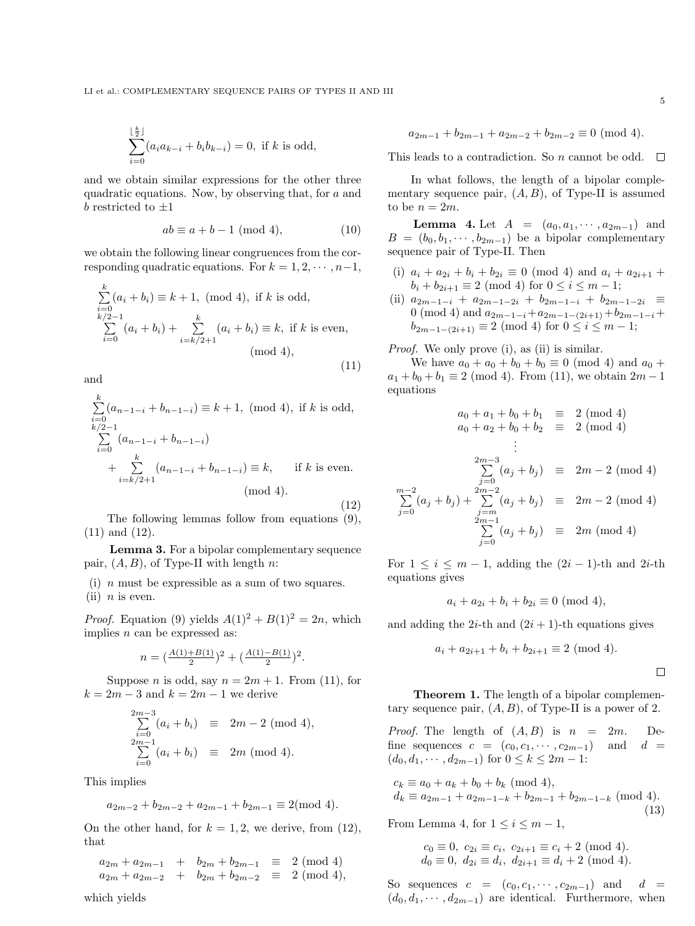$$
\sum_{i=0}^{\lfloor \frac{k}{2} \rfloor} (a_i a_{k-i} + b_i b_{k-i}) = 0, \text{ if } k \text{ is odd},
$$

and we obtain similar expressions for the other three quadratic equations. Now, by observing that, for a and  $b$  restricted to  $\pm 1$ 

$$
ab \equiv a + b - 1 \pmod{4},\tag{10}
$$

we obtain the following linear congruences from the corresponding quadratic equations. For  $k = 1, 2, \cdots, n-1$ ,

$$
\sum_{i=0}^{k} (a_i + b_i) \equiv k + 1, \text{ (mod 4), if } k \text{ is odd,}
$$
\n
$$
\sum_{i=0}^{k/2-1} (a_i + b_i) + \sum_{i=k/2+1}^{k} (a_i + b_i) \equiv k, \text{ if } k \text{ is even,}
$$
\n
$$
\text{(mod 4),}
$$
\n
$$
(11)
$$

and

$$
\sum_{i=0}^{k} (a_{n-1-i} + b_{n-1-i}) \equiv k+1, \text{ (mod 4), if } k \text{ is odd,}
$$
\n
$$
\sum_{i=0}^{k/2-1} (a_{n-1-i} + b_{n-1-i}) + \sum_{i=k/2+1}^{k} (a_{n-1-i} + b_{n-1-i}) \equiv k, \text{ if } k \text{ is even.}
$$
\n
$$
\text{(mod 4).}
$$
\n(12)

The following lemmas follow from equations (9), (11) and (12).

Lemma 3. For a bipolar complementary sequence pair,  $(A, B)$ , of Type-II with length n:

(i)  $n$  must be expressible as a sum of two squares. (ii)  $n$  is even.

*Proof.* Equation (9) yields  $A(1)^2 + B(1)^2 = 2n$ , which implies  $n$  can be expressed as:

$$
n=\big(\tfrac{A(1)+B(1)}{2}\big)^2+\big(\tfrac{A(1)-B(1)}{2}\big)^2.
$$

Suppose *n* is odd, say  $n = 2m + 1$ . From (11), for  $k = 2m - 3$  and  $k = 2m - 1$  we derive

$$
\sum_{\substack{i=0 \ i \geq 0}}^{2m-3} (a_i + b_i) \equiv 2m - 2 \pmod{4},
$$
  

$$
\sum_{i=0}^{2m-1} (a_i + b_i) \equiv 2m \pmod{4}.
$$

This implies

$$
a_{2m-2} + b_{2m-2} + a_{2m-1} + b_{2m-1} \equiv 2 \pmod{4}.
$$

On the other hand, for  $k = 1, 2$ , we derive, from (12), that

 $a_{2m} + a_{2m-1} + b_{2m} + b_{2m-1} \equiv 2 \pmod{4}$  $a_{2m} + a_{2m-2} + b_{2m} + b_{2m-2} \equiv 2 \pmod{4}$ ,

This leads to a contradiction. So 
$$
n
$$
 cannot be odd.

In what follows, the length of a bipolar complementary sequence pair,  $(A, B)$ , of Type-II is assumed to be  $n = 2m$ .

 $a_{2m-1} + b_{2m-1} + a_{2m-2} + b_{2m-2} \equiv 0 \pmod{4}$ .

**Lemma 4.** Let  $A = (a_0, a_1, \dots, a_{2m-1})$  and  $B = (b_0, b_1, \dots, b_{2m-1})$  be a bipolar complementary sequence pair of Type-II. Then

- (i)  $a_i + a_{2i} + b_i + b_{2i} \equiv 0 \pmod{4}$  and  $a_i + a_{2i+1}$  $b_i + b_{2i+1} \equiv 2 \pmod{4}$  for  $0 \le i \le m-1$ ;
- (ii)  $a_{2m-1-i} + a_{2m-1-2i} + b_{2m-1-i} + b_{2m-1-2i} \equiv$ 0 (mod 4) and  $a_{2m-1-i}+a_{2m-1-(2i+1)}+b_{2m-1-i}+$  $b_{2m-1-(2i+1)} \equiv 2 \pmod{4}$  for  $0 \le i \le m-1$ ;

Proof. We only prove (i), as (ii) is similar.

We have  $a_0 + a_0 + b_0 + b_0 \equiv 0 \pmod{4}$  and  $a_0 + b_0 = 0$  $a_1 + b_0 + b_1 \equiv 2 \pmod{4}$ . From (11), we obtain  $2m - 1$ equations

$$
a_0 + a_1 + b_0 + b_1 \equiv 2 \pmod{4}
$$
  
\n
$$
a_0 + a_2 + b_0 + b_2 \equiv 2 \pmod{4}
$$
  
\n
$$
\vdots
$$
  
\n
$$
\sum_{j=0}^{2m-3} (a_j + b_j) \equiv 2m - 2 \pmod{4}
$$
  
\n
$$
\sum_{j=0}^{m-2} (a_j + b_j) + \sum_{j=m}^{2m-2} (a_j + b_j) \equiv 2m - 2 \pmod{4}
$$
  
\n
$$
\sum_{j=0}^{2m-1} (a_j + b_j) \equiv 2m \pmod{4}
$$

For  $1 \leq i \leq m-1$ , adding the  $(2i-1)$ -th and  $2i$ -th equations gives

$$
a_i + a_{2i} + b_i + b_{2i} \equiv 0 \pmod{4},
$$

and adding the 2*i*-th and  $(2i + 1)$ -th equations gives

$$
a_i + a_{2i+1} + b_i + b_{2i+1} \equiv 2 \pmod{4}.
$$

 $\Box$ 

Theorem 1. The length of a bipolar complementary sequence pair,  $(A, B)$ , of Type-II is a power of 2.

*Proof.* The length of  $(A, B)$  is  $n = 2m$ . Define sequences  $c = (c_0, c_1, \cdots, c_{2m-1})$  and  $d =$  $(d_0, d_1, \cdots, d_{2m-1})$  for  $0 \leq k \leq 2m-1$ :

$$
c_k \equiv a_0 + a_k + b_0 + b_k \pmod{4},
$$
  
\n
$$
d_k \equiv a_{2m-1} + a_{2m-1-k} + b_{2m-1} + b_{2m-1-k} \pmod{4}.
$$
\n(13)

From Lemma 4, for  $1 \leq i \leq m-1$ ,

$$
c_0 \equiv 0
$$
,  $c_{2i} \equiv c_i$ ,  $c_{2i+1} \equiv c_i + 2 \pmod{4}$ .  
\n $d_0 \equiv 0$ ,  $d_{2i} \equiv d_i$ ,  $d_{2i+1} \equiv d_i + 2 \pmod{4}$ .

So sequences  $c = (c_0, c_1, \cdots, c_{2m-1})$  and  $d =$  $(d_0, d_1, \dots, d_{2m-1})$  are identical. Furthermore, when

 $\Box$ 

which yields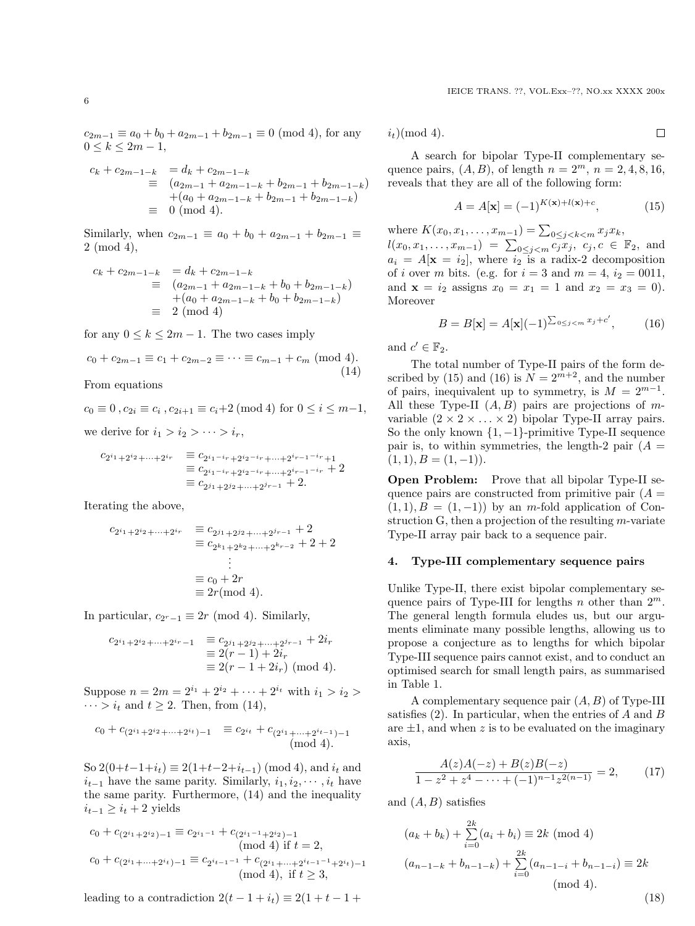$c_{2m-1} \equiv a_0 + b_0 + a_{2m-1} + b_{2m-1} \equiv 0 \pmod{4}$ , for any  $0 \le k \le 2m - 1,$ 

$$
c_k + c_{2m-1-k} = d_k + c_{2m-1-k}
$$
  
\n
$$
\equiv (a_{2m-1} + a_{2m-1-k} + b_{2m-1} + b_{2m-1-k})
$$
  
\n
$$
+ (a_0 + a_{2m-1-k} + b_{2m-1} + b_{2m-1-k})
$$
  
\n
$$
\equiv 0 \pmod{4}.
$$

Similarly, when  $c_{2m-1} \equiv a_0 + b_0 + a_{2m-1} + b_{2m-1} \equiv$ 2 (mod 4),

$$
c_k + c_{2m-1-k} = d_k + c_{2m-1-k}
$$
  
\n
$$
\equiv (a_{2m-1} + a_{2m-1-k} + b_0 + b_{2m-1-k})
$$
  
\n
$$
+ (a_0 + a_{2m-1-k} + b_0 + b_{2m-1-k})
$$
  
\n
$$
\equiv 2 \pmod{4}
$$

for any  $0 \leq k \leq 2m - 1$ . The two cases imply

$$
c_0 + c_{2m-1} \equiv c_1 + c_{2m-2} \equiv \dots \equiv c_{m-1} + c_m \pmod{4}.
$$
\n(14)

From equations

 $c_0 \equiv 0$ ,  $c_{2i} \equiv c_i$ ,  $c_{2i+1} \equiv c_i+2 \pmod{4}$  for  $0 \le i \le m-1$ ,

we derive for  $i_1 > i_2 > \cdots > i_r$ ,

$$
c_{2^{i_1}+2^{i_2}+\cdots+2^{i_r}} = c_{2^{i_1-i_r}+2^{i_2-i_r}+\cdots+2^{i_{r-1}-i_r}+1}
$$
  
\n
$$
\equiv c_{2^{i_1-i_r}+2^{i_2-i_r}+\cdots+2^{i_{r-1}-i_r}} + 2
$$
  
\n
$$
\equiv c_{2^{j_1}+2^{j_2}+\cdots+2^{j_{r-1}}} + 2.
$$

Iterating the above,

$$
c_{2^{i_1}+2^{i_2}+\cdots+2^{i_r}} \equiv c_{2^{j_1}+2^{j_2}+\cdots+2^{j_{r-1}}} + 2
$$
  
\n
$$
\equiv c_{2^{k_1}+2^{k_2}+\cdots+2^{k_{r-2}}} + 2 + 2
$$
  
\n
$$
\vdots
$$
  
\n
$$
\equiv c_0 + 2r
$$
  
\n
$$
\equiv 2r \pmod{4}.
$$

In particular,  $c_{2^r-1} \equiv 2r \pmod{4}$ . Similarly,

$$
c_{2^{i_1}+2^{i_2}+\cdots+2^{i_r}-1} = c_{2^{j_1}+2^{j_2}+\cdots+2^{j_{r-1}}} + 2i_r
$$
  
\n
$$
\equiv 2(r-1) + 2i_r
$$
  
\n
$$
\equiv 2(r-1+2i_r) \pmod{4}.
$$

Suppose  $n = 2m = 2^{i_1} + 2^{i_2} + \cdots + 2^{i_t}$  with  $i_1 > i_2 >$  $\cdots > i_t$  and  $t \geq 2$ . Then, from (14),

$$
c_0 + c_{(2^{i_1}+2^{i_2}+\cdots+2^{i_t})-1} \equiv c_{2^{i_t}} + c_{(2^{i_1}+\cdots+2^{i_{t-1}})-1}
$$
  
(mod 4).

So  $2(0+t-1+i_t) \equiv 2(1+t-2+i_{t-1}) \pmod{4}$ , and  $i_t$  and  $i_{t-1}$  have the same parity. Similarly,  $i_1, i_2, \dots, i_t$  have the same parity. Furthermore, (14) and the inequality  $i_{t-1}$  ≥  $i_t$  + 2 yields

$$
c_0 + c_{(2^{i_1}+2^{i_2})-1} \equiv c_{2^{i_1-1}} + c_{(2^{i_1-1}+2^{i_2})-1}
$$
  
\n(mod 4) if  $t = 2$ ,  
\n
$$
c_0 + c_{(2^{i_1}+\cdots+2^{i_t})-1} \equiv c_{2^{i_{t-1}-1}} + c_{(2^{i_1}+\cdots+2^{i_{t-1}-1}+2^{i_t})-1}
$$
  
\n(mod 4), if  $t \ge 3$ ,

leading to a contradiction  $2(t - 1 + i_t) \equiv 2(1 + t - 1 +$ 

 $i_t$ )(mod 4).

A search for bipolar Type-II complementary sequence pairs,  $(A, B)$ , of length  $n = 2^m$ ,  $n = 2, 4, 8, 16$ , reveals that they are all of the following form:

$$
A = A[\mathbf{x}] = (-1)^{K(\mathbf{x}) + l(\mathbf{x}) + c},\tag{15}
$$

where  $K(x_0, x_1, \ldots, x_{m-1}) = \sum_{0 \le j < k < m} x_j x_k,$  $l(x_0, x_1, \ldots, x_{m-1}) = \sum_{0 \leq j < m} c_j x_j, \ c_j, c \in \mathbb{F}_2$ , and  $a_i = A[\mathbf{x} = i_2],$  where  $i_2$  is a radix-2 decomposition of *i* over *m* bits. (e.g. for  $i = 3$  and  $m = 4$ ,  $i_2 = 0011$ , and  $x = i_2$  assigns  $x_0 = x_1 = 1$  and  $x_2 = x_3 = 0$ . Moreover

$$
B = B[\mathbf{x}] = A[\mathbf{x}](-1)^{\sum_{0 \le j < m} x_j + c'},\tag{16}
$$

and  $c' \in \mathbb{F}_2$ .

The total number of Type-II pairs of the form described by (15) and (16) is  $N = 2^{m+2}$ , and the number of pairs, inequivalent up to symmetry, is  $M = 2^{m-1}$ . All these Type-II  $(A, B)$  pairs are projections of mvariable  $(2 \times 2 \times ... \times 2)$  bipolar Type-II array pairs. So the only known  $\{1, -1\}$ -primitive Type-II sequence pair is, to within symmetries, the length-2 pair  $(A =$  $(1, 1), B = (1, -1).$ 

Open Problem: Prove that all bipolar Type-II sequence pairs are constructed from primitive pair  $(A =$  $(1, 1), B = (1, -1)$  by an m-fold application of Construction G, then a projection of the resulting  $m$ -variate Type-II array pair back to a sequence pair.

#### 4. Type-III complementary sequence pairs

Unlike Type-II, there exist bipolar complementary sequence pairs of Type-III for lengths  $n$  other than  $2^m$ . The general length formula eludes us, but our arguments eliminate many possible lengths, allowing us to propose a conjecture as to lengths for which bipolar Type-III sequence pairs cannot exist, and to conduct an optimised search for small length pairs, as summarised in Table 1.

A complementary sequence pair  $(A, B)$  of Type-III satisfies  $(2)$ . In particular, when the entries of A and B are  $\pm 1$ , and when z is to be evaluated on the imaginary axis,

$$
\frac{A(z)A(-z) + B(z)B(-z)}{1 - z^2 + z^4 - \dots + (-1)^{n-1}z^{2(n-1)}} = 2,
$$
 (17)

and  $(A, B)$  satisfies

$$
(a_k + b_k) + \sum_{i=0}^{2k} (a_i + b_i) \equiv 2k \pmod{4}
$$
  

$$
(a_{n-1-k} + b_{n-1-k}) + \sum_{i=0}^{2k} (a_{n-1-i} + b_{n-1-i}) \equiv 2k \pmod{4}.
$$
  
(18)

 $\Box$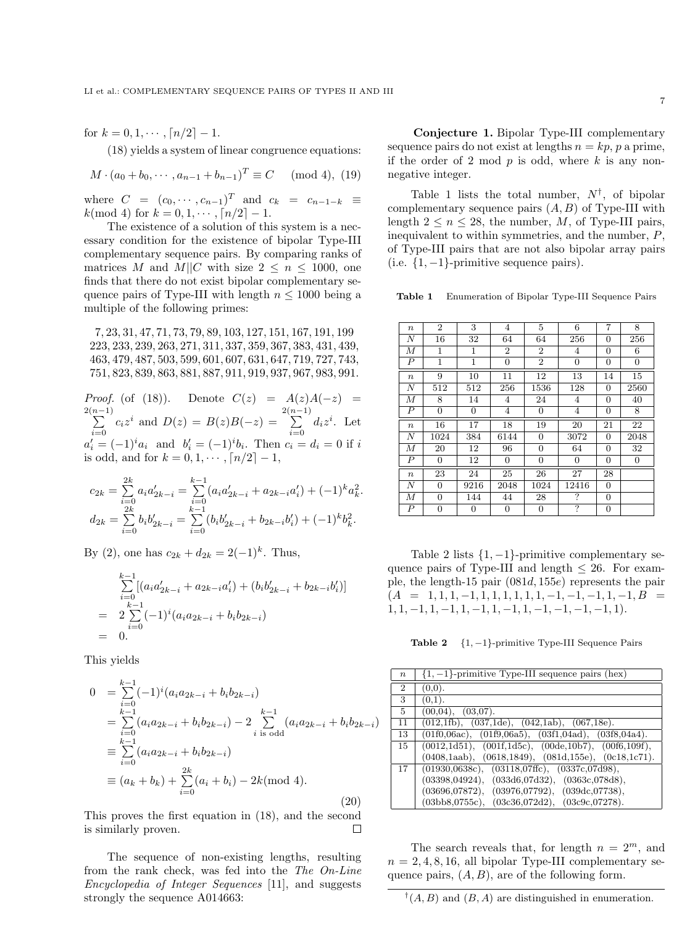for  $k = 0, 1, \cdots, \lceil n/2 \rceil - 1$ .

(18) yields a system of linear congruence equations:

$$
M \cdot (a_0 + b_0, \cdots, a_{n-1} + b_{n-1})^T \equiv C \pmod{4}, (19)
$$

where  $C = (c_0, \dots, c_{n-1})^T$  and  $c_k = c_{n-1-k} \equiv$  $k \pmod{4}$  for  $k = 0, 1, \dots, \lceil n/2 \rceil - 1$ .

The existence of a solution of this system is a necessary condition for the existence of bipolar Type-III complementary sequence pairs. By comparing ranks of matrices M and M||C with size  $2 \leq n \leq 1000$ , one finds that there do not exist bipolar complementary sequence pairs of Type-III with length  $n \leq 1000$  being a multiple of the following primes:

, 23, 31, 47, 71, 73, 79, 89, 103, 127, 151, 167, 191, 199 , 233, 239, 263, 271, 311, 337, 359, 367, 383, 431, 439, , 479, 487, 503, 599, 601, 607, 631, 647, 719, 727, 743, , 823, 839, 863, 881, 887, 911, 919, 937, 967, 983, 991.

Proof. (of (18)). Denote  $C(z) = A(z)A(-z) =$  $\sum_{n=1}^{2(n-1)}$  $\sum_{i=0}^{(n-1)} c_i z^i$  and  $D(z) = B(z)B(-z) = \sum_{i=0}^{2(n-1)}$  $\sum_{i=0}^{\infty} d_i z^i$ . Let  $a'_i = (-1)^i a_i$  and  $b'_i = (-1)^i b_i$ . Then  $c_i = d_i = 0$  if i is odd, and for  $k = 0, 1, \dots, \lceil n/2 \rceil - 1$ ,

$$
c_{2k} = \sum_{i=0}^{2k} a_i a'_{2k-i} = \sum_{i=0}^{k-1} (a_i a'_{2k-i} + a_{2k-i} a'_i) + (-1)^k a_k^2.
$$
  

$$
d_{2k} = \sum_{i=0}^{2k} b_i b'_{2k-i} = \sum_{i=0}^{k-1} (b_i b'_{2k-i} + b_{2k-i} b'_i) + (-1)^k b_k^2.
$$

By (2), one has  $c_{2k} + d_{2k} = 2(-1)^k$ . Thus,

$$
\sum_{i=0}^{k-1} [(a_i a'_{2k-i} + a_{2k-i} a'_i) + (b_i b'_{2k-i} + b_{2k-i} b'_i)]
$$
  
= 
$$
2 \sum_{i=0}^{k-1} (-1)^i (a_i a_{2k-i} + b_i b_{2k-i})
$$
  
= 0.

This yields

$$
0 = \sum_{i=0}^{k-1} (-1)^i (a_i a_{2k-i} + b_i b_{2k-i})
$$
  
\n
$$
= \sum_{i=0}^{k-1} (a_i a_{2k-i} + b_i b_{2k-i}) - 2 \sum_{i=0}^{k-1} (a_i a_{2k-i} + b_i b_{2k-i})
$$
  
\n
$$
\equiv \sum_{i=0}^{k-1} (a_i a_{2k-i} + b_i b_{2k-i})
$$
  
\n
$$
\equiv (a_k + b_k) + \sum_{i=0}^{2k} (a_i + b_i) - 2k \pmod{4}.
$$
  
\n(20)

This proves the first equation in (18), and the second is similarly proven.  $\Box$ 

The sequence of non-existing lengths, resulting from the rank check, was fed into the The On-Line Encyclopedia of Integer Sequences [11], and suggests strongly the sequence A014663:

Conjecture 1. Bipolar Type-III complementary sequence pairs do not exist at lengths  $n = kp$ , p a prime, if the order of 2 mod  $p$  is odd, where  $k$  is any nonnegative integer.

Table 1 lists the total number,  $N^{\dagger}$ , of bipolar complementary sequence pairs  $(A, B)$  of Type-III with length  $2 \leq n \leq 28$ , the number, M, of Type-III pairs, inequivalent to within symmetries, and the number, P, of Type-III pairs that are not also bipolar array pairs (i.e.  $\{1, -1\}$ -primitive sequence pairs).

Table 1 Enumeration of Bipolar Type-III Sequence Pairs

| $\boldsymbol{n}$ | $\overline{2}$ | 3                | 4              | 5              | 6     | $\overline{7}$ | 8                |
|------------------|----------------|------------------|----------------|----------------|-------|----------------|------------------|
| Ν                | 16             | 32               | 64             | 64             | 256   | 0              | 256              |
| М                | 1              | 1                | $\overline{2}$ | $\overline{2}$ | 4     | $\overline{0}$ | 6                |
| $\overline{P}$   | 1              | 1                | $\overline{0}$ | $\overline{2}$ | 0     | 0              | $\overline{0}$   |
| $\boldsymbol{n}$ | 9              | 10               | 11             | 12             | 13    | 14             | 15               |
| $\boldsymbol{N}$ | 512            | 512              | 256            | 1536           | 128   | 0              | 2560             |
| М                | 8              | 14               | 4              | 24             | 4     | 0              | 40               |
| $\overline{P}$   | $\overline{0}$ | $\boldsymbol{0}$ | 4              | 0              | 4     | 0              | 8                |
|                  |                |                  |                |                |       |                |                  |
| $\boldsymbol{n}$ | 16             | 17               | 18             | 19             | 20    | 21             | 22               |
| N                | 1024           | 384              | 6144           | 0              | 3072  | 0              | 2048             |
| М                | 20             | 12               | 96             | $\overline{0}$ | 64    | 0              | 32               |
| $\overline{P}$   | $\overline{0}$ | 12               | $\overline{0}$ | $\overline{0}$ | 0     | $\overline{0}$ | $\boldsymbol{0}$ |
| $\boldsymbol{n}$ | 23             | 24               | 25             | 26             | 27    | 28             |                  |
| N                | 0              | 9216             | 2048           | 1024           | 12416 | 0              |                  |
| М                | $\overline{0}$ | 144              | 44             | 28             | ?     | 0              |                  |

Table 2 lists  $\{1, -1\}$ -primitive complementary sequence pairs of Type-III and length  $\leq 26$ . For example, the length-15 pair  $(081d, 155e)$  represents the pair  $(A = 1, 1, 1, -1, 1, 1, 1, 1, 1, 1, -1, -1, -1, 1, -1, B)$  $1, 1, -1, 1, -1, 1, -1, 1, -1, 1, -1, -1, -1, -1, 1$ .

Table 2  ${1, -1}$ -primitive Type-III Sequence Pairs

| $\boldsymbol{n}$ | $\{1, -1\}$ -primitive Type-III sequence pairs (hex)                                |
|------------------|-------------------------------------------------------------------------------------|
| $\overline{2}$   | (0,0).                                                                              |
| 3                | $(0,1)$ .                                                                           |
| 5                | (00,04), (03,07).                                                                   |
| 11               | $(012,1\text{fb})$ , $(037,1\text{de})$ , $(042,1\text{ab})$ , $(067,18\text{e})$ . |
| 13               | $(01f0,06ac), (01f9,06a5), (03f1,04ad), (03f8,04a4).$                               |
| 15               | $(0012, 1d51), (001f, 1d5c), (00de, 10b7), (00f6, 109f),$                           |
|                  | $(0408, 1040), (0618, 1849), (081d, 155e), (0c18, 1c71).$                           |
| 17               | $(01930.0638c), (03118.07ffc), (0337c.07d98),$                                      |
|                  | (03398, 04924),<br>(033d6, 07d32), (0363c, 078d8),                                  |
|                  | (03696,07872),<br>(03976, 07792), (039dc, 07738),                                   |
|                  | (03c36.072d2), (03c9c.07278).<br>$(03bb8.0755c)$ ,                                  |

The search reveals that, for length  $n = 2^m$ , and  $n = 2, 4, 8, 16,$  all bipolar Type-III complementary sequence pairs,  $(A, B)$ , are of the following form.

 $^{\dagger}(A, B)$  and  $(B, A)$  are distinguished in enumeration.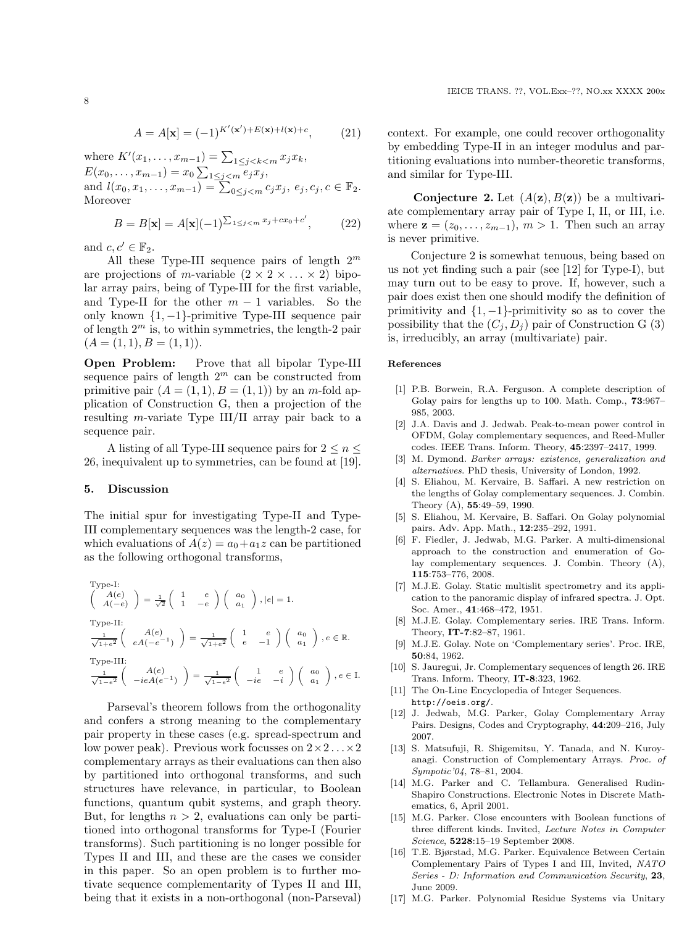$$
A = A[\mathbf{x}] = (-1)^{K'(\mathbf{x}') + E(\mathbf{x}) + l(\mathbf{x}) + c}, \tag{21}
$$

where  $K'(x_1, ..., x_{m-1}) = \sum_{1 \leq j < k < m} x_j x_k$ ,  $E(x_0,...,x_{m-1}) = x_0 \sum_{1 \leq j < m} e_j x_j,$ and  $l(x_0, x_1, \ldots, x_{m-1}) = \sum_{0 \leq j < m} c_j x_j, e_j, c_j, c \in \mathbb{F}_2$ . Moreover

$$
B = B[\mathbf{x}] = A[\mathbf{x}](-1)^{\sum_{1 \le j < m} x_j + cx_0 + c'},\tag{22}
$$

and  $c, c' \in \mathbb{F}_2$ .

All these Type-III sequence pairs of length  $2^m$ are projections of m-variable  $(2 \times 2 \times ... \times 2)$  bipolar array pairs, being of Type-III for the first variable, and Type-II for the other  $m-1$  variables. So the only known {1, −1}-primitive Type-III sequence pair of length  $2^m$  is, to within symmetries, the length-2 pair  $(A = (1, 1), B = (1, 1)).$ 

Open Problem: Prove that all bipolar Type-III sequence pairs of length  $2^m$  can be constructed from primitive pair  $(A = (1, 1), B = (1, 1))$  by an m-fold application of Construction G, then a projection of the resulting m-variate Type III/II array pair back to a sequence pair.

A listing of all Type-III sequence pairs for  $2 \leq n \leq$ 26, inequivalent up to symmetries, can be found at [19].

#### 5. Discussion

The initial spur for investigating Type-II and Type-III complementary sequences was the length-2 case, for which evaluations of  $A(z) = a_0 + a_1 z$  can be partitioned as the following orthogonal transforms,

Type-I:  
\n
$$
\begin{pmatrix}\nA(e) \\
A(-e)\n\end{pmatrix} = \frac{1}{\sqrt{2}} \begin{pmatrix}\n1 & e \\
1 & -e\n\end{pmatrix} \begin{pmatrix}\na_0 \\
a_1\n\end{pmatrix}, |e| = 1.
$$
\nType-II:  
\n
$$
\frac{1}{\sqrt{1+e^2}} \begin{pmatrix}\nA(e) \\
eA(-e^{-1})\n\end{pmatrix} = \frac{1}{\sqrt{1+e^2}} \begin{pmatrix}\n1 & e \\
e & -1\n\end{pmatrix} \begin{pmatrix}\na_0 \\
a_1\n\end{pmatrix}, e \in \mathbb{R}.
$$
\nType-III:  
\n
$$
\frac{1}{\sqrt{1-e^2}} \begin{pmatrix}\nA(e) \\
-ieA(e^{-1})\n\end{pmatrix} = \frac{1}{\sqrt{1-e^2}} \begin{pmatrix}\n1 & e \\
-ie & -i\n\end{pmatrix} \begin{pmatrix}\na_0 \\
a_1\n\end{pmatrix}, e \in \mathbb{I}.
$$

Parseval's theorem follows from the orthogonality and confers a strong meaning to the complementary pair property in these cases (e.g. spread-spectrum and low power peak). Previous work focusses on  $2 \times 2 \dots \times 2$ complementary arrays as their evaluations can then also by partitioned into orthogonal transforms, and such structures have relevance, in particular, to Boolean functions, quantum qubit systems, and graph theory. But, for lengths  $n > 2$ , evaluations can only be partitioned into orthogonal transforms for Type-I (Fourier transforms). Such partitioning is no longer possible for Types II and III, and these are the cases we consider in this paper. So an open problem is to further motivate sequence complementarity of Types II and III, being that it exists in a non-orthogonal (non-Parseval) context. For example, one could recover orthogonality by embedding Type-II in an integer modulus and partitioning evaluations into number-theoretic transforms, and similar for Type-III.

**Conjecture 2.** Let  $(A(\mathbf{z}), B(\mathbf{z}))$  be a multivariate complementary array pair of Type I, II, or III, i.e. where  $\mathbf{z} = (z_0, \ldots, z_{m-1}), m > 1$ . Then such an array is never primitive.

Conjecture 2 is somewhat tenuous, being based on us not yet finding such a pair (see [12] for Type-I), but may turn out to be easy to prove. If, however, such a pair does exist then one should modify the definition of primitivity and  $\{1, -1\}$ -primitivity so as to cover the possibility that the  $(C_i, D_i)$  pair of Construction G (3) is, irreducibly, an array (multivariate) pair.

#### References

- [1] P.B. Borwein, R.A. Ferguson. A complete description of Golay pairs for lengths up to 100. Math. Comp., 73:967– 985, 2003.
- [2] J.A. Davis and J. Jedwab. Peak-to-mean power control in OFDM, Golay complementary sequences, and Reed-Muller codes. IEEE Trans. Inform. Theory, 45:2397–2417, 1999.
- [3] M. Dymond. Barker arrays: existence, generalization and alternatives. PhD thesis, University of London, 1992.
- [4] S. Eliahou, M. Kervaire, B. Saffari. A new restriction on the lengths of Golay complementary sequences. J. Combin. Theory (A), 55:49–59, 1990.
- [5] S. Eliahou, M. Kervaire, B. Saffari. On Golay polynomial pairs. Adv. App. Math., 12:235–292, 1991.
- [6] F. Fiedler, J. Jedwab, M.G. Parker. A multi-dimensional approach to the construction and enumeration of Golay complementary sequences. J. Combin. Theory (A), 115:753–776, 2008.
- [7] M.J.E. Golay. Static multislit spectrometry and its application to the panoramic display of infrared spectra. J. Opt. Soc. Amer., 41:468–472, 1951.
- [8] M.J.E. Golay. Complementary series. IRE Trans. Inform. Theory, IT-7:82–87, 1961.
- [9] M.J.E. Golay. Note on 'Complementary series'. Proc. IRE, 50:84, 1962.
- [10] S. Jauregui, Jr. Complementary sequences of length 26. IRE Trans. Inform. Theory, IT-8:323, 1962.
- [11] The On-Line Encyclopedia of Integer Sequences. http://oeis.org/.
- [12] J. Jedwab, M.G. Parker, Golay Complementary Array Pairs. Designs, Codes and Cryptography, 44:209–216, July 2007.
- [13] S. Matsufuji, R. Shigemitsu, Y. Tanada, and N. Kuroyanagi. Construction of Complementary Arrays. Proc. of Sympotic'04, 78–81, 2004.
- [14] M.G. Parker and C. Tellambura. Generalised Rudin-Shapiro Constructions. Electronic Notes in Discrete Mathematics, 6, April 2001.
- [15] M.G. Parker. Close encounters with Boolean functions of three different kinds. Invited, Lecture Notes in Computer Science, 5228:15–19 September 2008.
- [16] T.E. Bjørstad, M.G. Parker. Equivalence Between Certain Complementary Pairs of Types I and III, Invited, NATO Series - D: Information and Communication Security, 23, June 2009.
- [17] M.G. Parker. Polynomial Residue Systems via Unitary